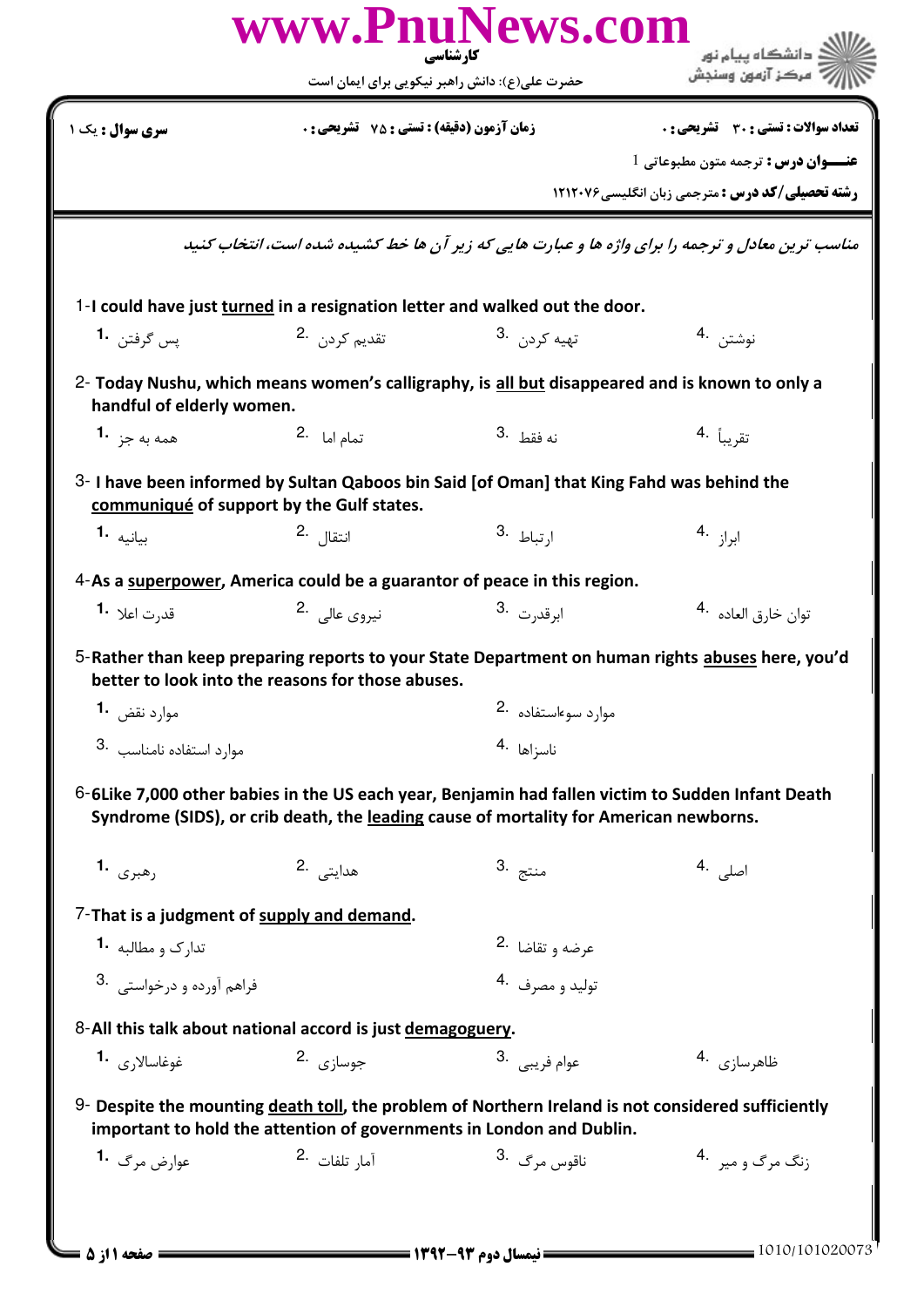| www.PnuNews.com<br>دانشگاه بیام نور<br>کار شناسی                   |                                                            |                                                                                                                                                                            |                                                                                                   |  |  |
|--------------------------------------------------------------------|------------------------------------------------------------|----------------------------------------------------------------------------------------------------------------------------------------------------------------------------|---------------------------------------------------------------------------------------------------|--|--|
|                                                                    |                                                            | حضرت علی(ع): دانش راهبر نیکویی برای ایمان است                                                                                                                              | مركز آزمون وسنجش                                                                                  |  |  |
| <b>سری سوال :</b> یک ۱                                             | زمان آزمون (دقيقه) : تستى : 75 ٪ تشريحي : 0                |                                                                                                                                                                            | <b>تعداد سوالات : تستی : 30 ٪ تشریحی : 0</b>                                                      |  |  |
|                                                                    |                                                            |                                                                                                                                                                            | <b>عنــوان درس :</b> ترجمه متون مطبوعاتي 1                                                        |  |  |
|                                                                    |                                                            |                                                                                                                                                                            | <b>رشته تحصیلی/کد درس :</b> مترجمی زبان انگلیسی7۱۲۰۷۶                                             |  |  |
|                                                                    |                                                            |                                                                                                                                                                            | مناسب ترین معادل و ترجمه را برای واژه ها و عبارت هایی که زیر آن ها خط کشیده شده است، انتخاب کنید  |  |  |
|                                                                    |                                                            | 1-I could have just turned in a resignation letter and walked out the door.                                                                                                |                                                                                                   |  |  |
| يس گرفتن <b>1</b> ۰                                                | تقديم كردن .2                                              | تهيه کړدن . 3                                                                                                                                                              | نوشتن 4.                                                                                          |  |  |
| handful of elderly women.                                          |                                                            | 2- Today Nushu, which means women's calligraphy, is all but disappeared and is known to only a                                                                             |                                                                                                   |  |  |
| همه به جز <b>1.</b>                                                | تمام اما 2.                                                | نه فقط .3                                                                                                                                                                  | تقريباً <sup>.4</sup>                                                                             |  |  |
|                                                                    | communiqué of support by the Gulf states.                  | 3- I have been informed by Sultan Qaboos bin Said [of Oman] that King Fahd was behind the                                                                                  |                                                                                                   |  |  |
| بيانيه 1.                                                          | انتقال . <sup>2</sup>                                      | ا <sub>ر</sub> تباط .3                                                                                                                                                     | $4.$ ابراز $1$                                                                                    |  |  |
|                                                                    |                                                            |                                                                                                                                                                            |                                                                                                   |  |  |
|                                                                    |                                                            | 4-As a superpower, America could be a guarantor of peace in this region.                                                                                                   |                                                                                                   |  |  |
| قد <sub>ر</sub> ت اعلا   • <b>1</b>                                | نيروى عالى 2.                                              | ابرقد <sub>ر</sub> ت 3.                                                                                                                                                    | توان خارق العاده <sup>.4</sup>                                                                    |  |  |
|                                                                    | better to look into the reasons for those abuses.          |                                                                                                                                                                            | 5-Rather than keep preparing reports to your State Department on human rights abuses here, you'd  |  |  |
| موارد نقض 1.                                                       |                                                            | موارد سوءاستفاده .2                                                                                                                                                        |                                                                                                   |  |  |
| موارد استفاده نامناسب 3.                                           |                                                            | ناسزاها 4.                                                                                                                                                                 |                                                                                                   |  |  |
|                                                                    |                                                            | Syndrome (SIDS), or crib death, the leading cause of mortality for American newborns.                                                                                      | 6-6Like 7,000 other babies in the US each year, Benjamin had fallen victim to Sudden Infant Death |  |  |
| رهبری .1                                                           | هدایتے .2                                                  | منتج .3                                                                                                                                                                    | اصل <sub>ی</sub> .4                                                                               |  |  |
|                                                                    | 7-That is a judgment of supply and demand.                 |                                                                                                                                                                            |                                                                                                   |  |  |
| تدا <sub>ر</sub> ک و مطالبه <b>1</b> ۰                             |                                                            | عرضه و تقاضا <sup>.2</sup>                                                                                                                                                 |                                                                                                   |  |  |
| فراهم آورده و درخواستی . 3                                         |                                                            | توليد و مصرف 4.                                                                                                                                                            |                                                                                                   |  |  |
|                                                                    | 8-All this talk about national accord is just demagoguery. |                                                                                                                                                                            |                                                                                                   |  |  |
| $\mathbf{1}_{\epsilon_{\beta},\gamma}$ غوغاسالا $\epsilon_{\beta}$ | جوسازي 2.                                                  | 3. عوام فريبي                                                                                                                                                              | ظاهرسازی <sup>4</sup> ۰                                                                           |  |  |
|                                                                    |                                                            | 9- Despite the mounting death toll, the problem of Northern Ireland is not considered sufficiently<br>important to hold the attention of governments in London and Dublin. |                                                                                                   |  |  |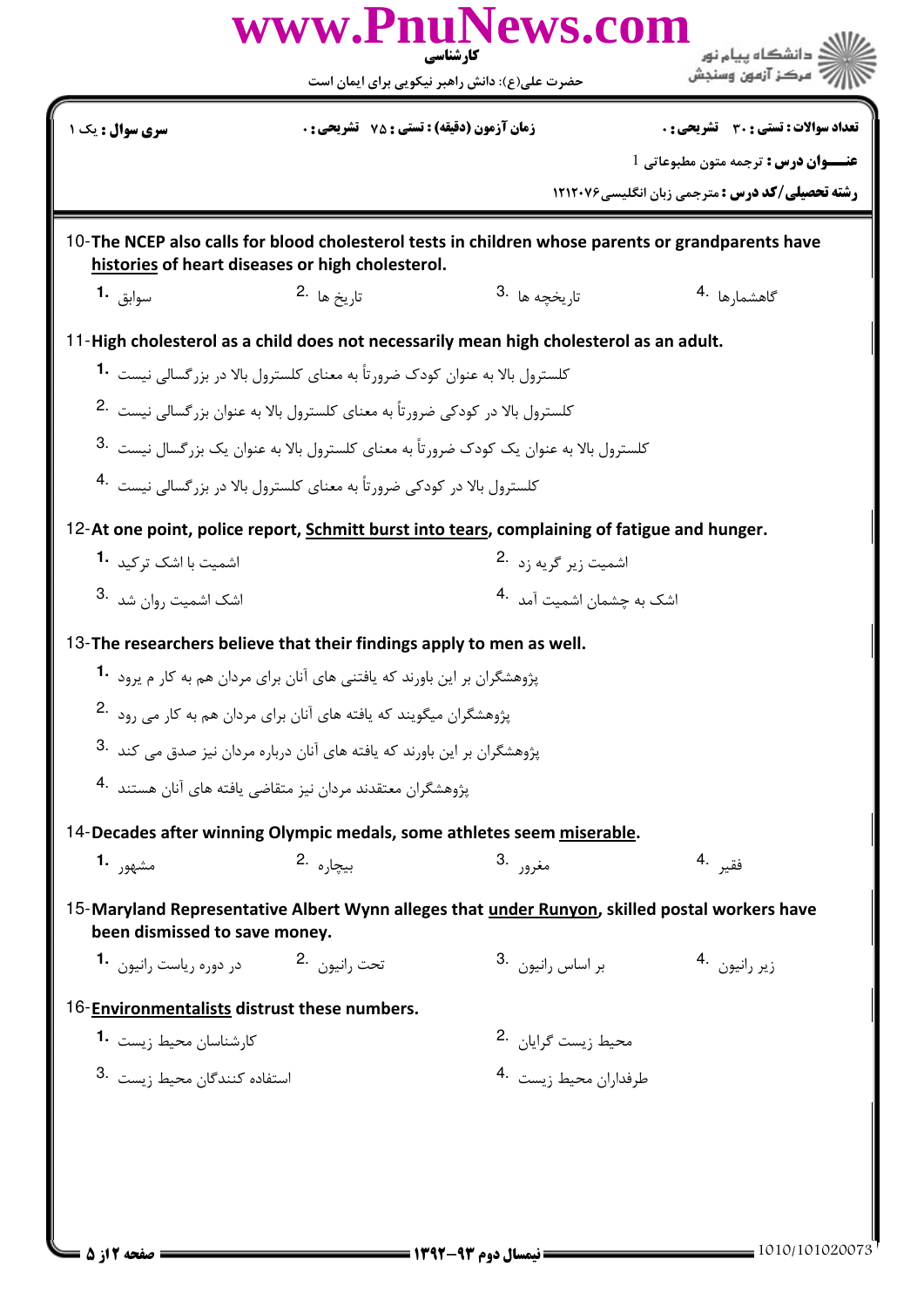|                                                                                                                                                              |                                                                                           | www.PnuNews.com<br>کار شناسی<br>حضرت علی(ع): دانش راهبر نیکویی برای ایمان است                        | دانشگاه ىيام نور<br>مركز آزمون وسندش                                                          |  |  |
|--------------------------------------------------------------------------------------------------------------------------------------------------------------|-------------------------------------------------------------------------------------------|------------------------------------------------------------------------------------------------------|-----------------------------------------------------------------------------------------------|--|--|
| <b>سری سوال :</b> یک ۱                                                                                                                                       | <b>زمان آزمون (دقیقه) : تستی : 75 ٪ تشریحی : 0</b>                                        |                                                                                                      | تعداد سوالات : تستي : 30 ٪ تشريحي : 0                                                         |  |  |
|                                                                                                                                                              |                                                                                           |                                                                                                      | <b>عنــوان درس :</b> ترجمه متون مطبوعاتي 1                                                    |  |  |
|                                                                                                                                                              |                                                                                           |                                                                                                      | <b>رشته تحصیلی/کد درس :</b> مترجمی زبان انگلیسی7۱۲۰۷۶                                         |  |  |
| 10-The NCEP also calls for blood cholesterol tests in children whose parents or grandparents have<br>histories of heart diseases or high cholesterol.        |                                                                                           |                                                                                                      |                                                                                               |  |  |
| سوابق 1.                                                                                                                                                     | تا <sub>د</sub> يخ ها 2.                                                                  | تا <sub>ر</sub> يخچه ها 3.                                                                           | گاهشما <sub>د</sub> ها <sup>.4</sup>                                                          |  |  |
|                                                                                                                                                              |                                                                                           | 11-High cholesterol as a child does not necessarily mean high cholesterol as an adult.               |                                                                                               |  |  |
|                                                                                                                                                              | کلسترول بالا به عنوان کودک ضرورتاً به معنای کلسترول بالا در بزرگسالی نیست <b>1۰</b>       |                                                                                                      |                                                                                               |  |  |
|                                                                                                                                                              | کلسترول بالا در کودکی ضرورتاً به معنای کلسترول بالا به عنوان بزرگسالی نیست <sup>2</sup> ۰ |                                                                                                      |                                                                                               |  |  |
| کلسترول بالا به عنوان یک کودک ضرورتاً به معنای کلسترول بالا به عنوان یک بزرگسال نیست <sup>3</sup> ۰                                                          |                                                                                           |                                                                                                      |                                                                                               |  |  |
|                                                                                                                                                              | کلسترول بالا در کودکی ضرورتاً به معنای کلسترول بالا در بزرگسالی نیست <sup>4</sup> ۰       |                                                                                                      |                                                                                               |  |  |
|                                                                                                                                                              |                                                                                           | 12-At one point, police report, <b>Schmitt burst into tears</b> , complaining of fatigue and hunger. |                                                                                               |  |  |
| اشمیت با اشک ت <sub>ر</sub> کید <b>1</b> ۰                                                                                                                   |                                                                                           | اشمیت زیر گریه زد <sup>.2</sup>                                                                      |                                                                                               |  |  |
| اشک اشمیت <sub>د</sub> وان شد 8۰                                                                                                                             |                                                                                           | اشک به چشمان اشمىت آمد 4.                                                                            |                                                                                               |  |  |
|                                                                                                                                                              |                                                                                           |                                                                                                      |                                                                                               |  |  |
| 13-The researchers believe that their findings apply to men as well.                                                                                         | پژوهشگران بر این باورند که یافتنی های آنان برای مردان هم به کار م پرود <b>1</b> ۰         |                                                                                                      |                                                                                               |  |  |
|                                                                                                                                                              | پژوهشگران میگویند که یافته های آنان برای مردان هم به کار می رود .2                        |                                                                                                      |                                                                                               |  |  |
|                                                                                                                                                              |                                                                                           |                                                                                                      |                                                                                               |  |  |
| یژوهشگران بر این باورند که یافته های آنان درباره مردان نیز صدق مے کند <sup>.3</sup><br>یژوهشگران معتقدند مردان نیز متقاضی یافته های آنان هستند <sup>.4</sup> |                                                                                           |                                                                                                      |                                                                                               |  |  |
|                                                                                                                                                              |                                                                                           |                                                                                                      |                                                                                               |  |  |
|                                                                                                                                                              |                                                                                           | 14-Decades after winning Olympic medals, some athletes seem miserable.                               |                                                                                               |  |  |
| مشهور -1                                                                                                                                                     | بيجاره 2.                                                                                 | مغرور .3                                                                                             | فقير .4                                                                                       |  |  |
| been dismissed to save money.                                                                                                                                |                                                                                           |                                                                                                      | 15-Maryland Representative Albert Wynn alleges that under Runyon, skilled postal workers have |  |  |
| تحت <sub>د</sub> انیون <sup>2</sup> ۰ میست در دوره ریاست رانیون <b>1۰</b>                                                                                    |                                                                                           | بر اساس رانيون <sup>3</sup> .                                                                        | زير رانيون 4.                                                                                 |  |  |
| 16-Environmentalists distrust these numbers.                                                                                                                 |                                                                                           |                                                                                                      |                                                                                               |  |  |
| كارشناسان محيط <sub>(</sub> يست <b>1</b> ۰                                                                                                                   |                                                                                           | محيط زيست گرايان 2.                                                                                  |                                                                                               |  |  |
| 3. استفاده کنندگان محیط زیست                                                                                                                                 |                                                                                           | طرفداران محيط ; ىست 4.                                                                               |                                                                                               |  |  |
|                                                                                                                                                              |                                                                                           |                                                                                                      |                                                                                               |  |  |
|                                                                                                                                                              |                                                                                           |                                                                                                      |                                                                                               |  |  |
|                                                                                                                                                              |                                                                                           |                                                                                                      |                                                                                               |  |  |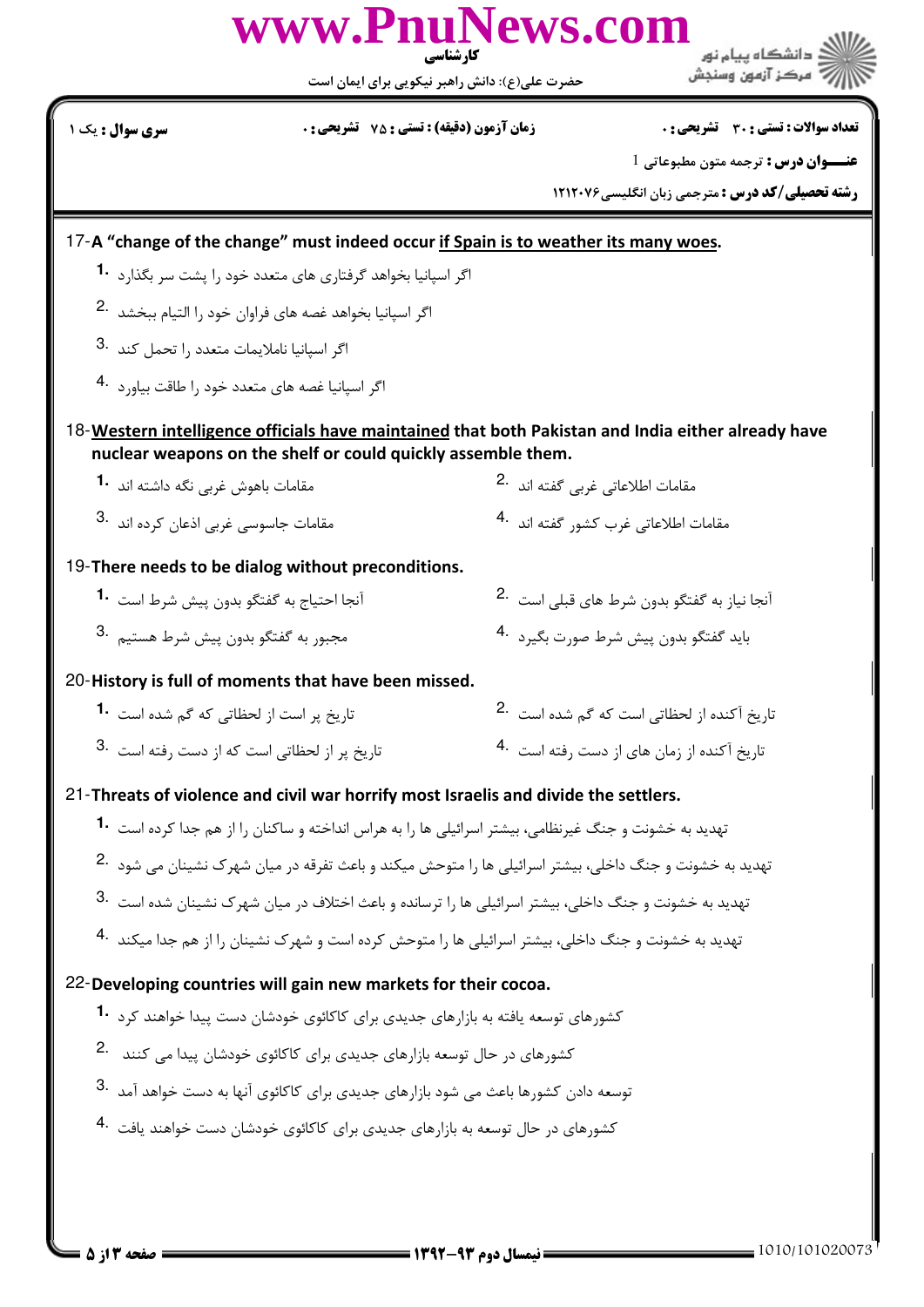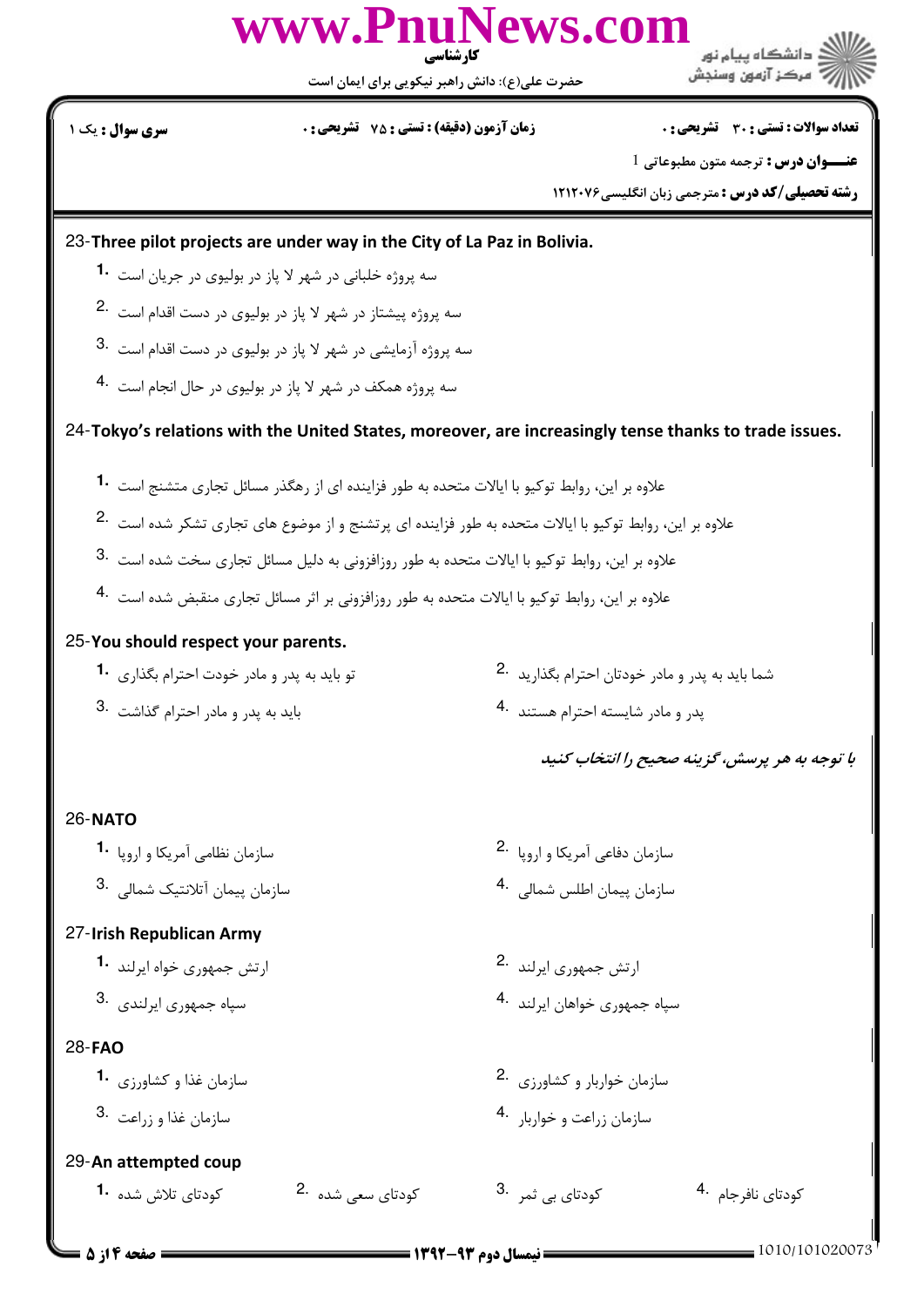

حضرت علي(ع): دانش راهبر نيكويي براي ايمان است

تعداد سوالات : تستي تشريحي زمان آزمون (دقيقه) : تستي تشريحي سري سوال & ' ): \*+ : ) (): : :

" مرڪز آزمون وسنڊش

**عنـــوان درس :** ترجمه متون مطبوعاتي 1

**رشته تحصیلی/کد درس :** مترجمی زبان انگلیسی7۲۱۲۰۷۶

23-Three pilot projects are under way in the City of La Paz in Bolivia.

- سه پروژه خلبانی در شهر لا پاز در بولیوی در جریان است **1**۰
- سه پروژه پیشتاز در شهر لا پاز در بولیوی در دست اقدام است  $^{-2}$
- سه پروژه آزمایشی در شهر لا پاز در بولیوی در دست اقدام است  $^3\cdot$
- سه پروژه همکف در شهر لا پاز در بولیوی در حال انجام است <sup>4</sup>۰

24-Tokyo's relations with the United States, moreover, are increasingly tense thanks to trade issues.

- .<br>علاوه بر این، روابط توکیو با ایالات متحده به طور فزاینده ای از رهگذر مسائل تجاری متشنج است **1۰**
- علاوه بر این، روابط توکیو با ایالات متحده به طور فزاینده ای پرتشنج و از موضوع های تجاری تشکر شده است <sup>2</sup>.
- 3. ملاوه بر این، روابط توکیو با ایالات متحده به طور روزافزونی به دلیل مسائل تجاری سخت شده است $\,$  3.
- -<br>علاوه بر این، روابط توکیو با ایالات متحده به طور روزافزونی بر اثر مسائل تجاری منقبض شده است <sup>4</sup>۰

#### 25-You should respect your parents.

- .<br>ترام بگذاريد <sup>.2</sup> تو بايد به پدر و مادر خودت احترام بگذارى **.1**
- 3. تند  $\,$  4. فيدر و مادر احترام گذاشت  $\,$  3.  $\,$
- شما باید به پدر و مادر خودتان اح
	- پدر و مادر شایسته احترام هس

با توجه به هر پرسش، گزینه صحیح را انتخاب کنید

#### 26-NATO

.% . e
? +a &5 .% . e
? +( **1.** 2. .<br>3. مسازمان پیمان آتلانتیک شمالی .3 $\,$ سازمان پیمان اطلس شمال<sub>ه،</sub> 4

## 27-Irish Republican Army

- ارتش جمهوری خواه ایرلند **1.**
- 3. سپاه جمهوری ایرلندی

### 28-**FAO**

- سازمان غذا و کشاورزی <sup>.1</sup>
- 3. سازمان غذا و <sub>زر</sub>اعت .3

#### 29-An attempted coup

- كودتاي تلاش شده •**1**
- کودتای سعے شدہ ۔2 i + -**1.** 2. 3. 4.
- سازمان دفاعی آمریکا و ارویا 2.
- 
- ارتش جمهوری ایرلند 2.
- سپاه جمهوری خواهان ایرلند 4.
- سازمان خواربار و کشاورزی 2.
- سازمان زراعت و خواربار 4.

كودتاي نافرجام <sup>.4</sup> كو